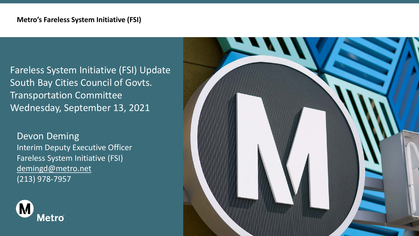#### **Metro's Fareless System Initiative (FSI)**

Fareless System Initiative (FSI) Update South Bay Cities Council of Govts. Transportation Committee Wednesday, September 13, 2021

Devon Deming Interim Deputy Executive Officer Fareless System Initiative (FSI) [demingd@metro.net](mailto:demingd@metro.net) (213) 978-7957



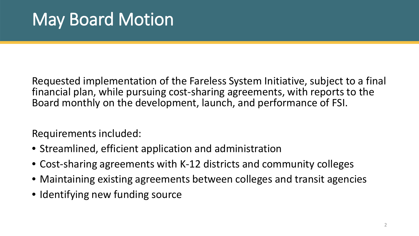Requested implementation of the Fareless System Initiative, subject to a final financial plan, while pursuing cost-sharing agreements, with reports to the Board monthly on the development, launch, and performance of FSI.

Requirements included:

- Streamlined, efficient application and administration
- Cost-sharing agreements with K-12 districts and community colleges
- Maintaining existing agreements between colleges and transit agencies
- Identifying new funding source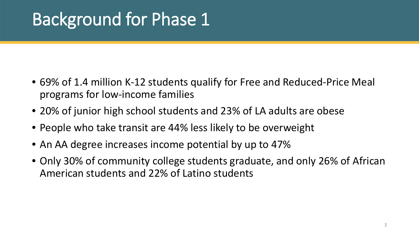# Background for Phase 1

- 69% of 1.4 million K-12 students qualify for Free and Reduced-Price Meal programs for low-income families
- 20% of junior high school students and 23% of LA adults are obese
- People who take transit are 44% less likely to be overweight
- An AA degree increases income potential by up to 47%
- Only 30% of community college students graduate, and only 26% of African American students and 22% of Latino students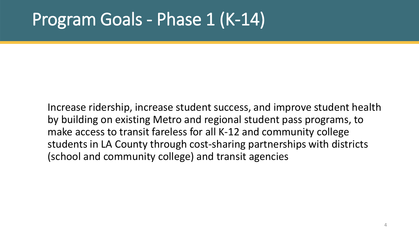#### Program Goals - Phase 1 (K-14)

Increase ridership, increase student success, and improve student health by building on existing Metro and regional student pass programs, to make access to transit fareless for all K-12 and community college students in LA County through cost-sharing partnerships with districts (school and community college) and transit agencies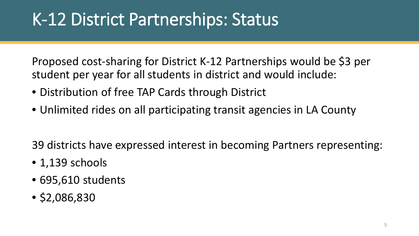### K-12 District Partnerships: Status

Proposed cost-sharing for District K-12 Partnerships would be \$3 per student per year for all students in district and would include:

- Distribution of free TAP Cards through District
- Unlimited rides on all participating transit agencies in LA County

39 districts have expressed interest in becoming Partners representing:

- 1,139 schools
- 695,610 students
- \$2,086,830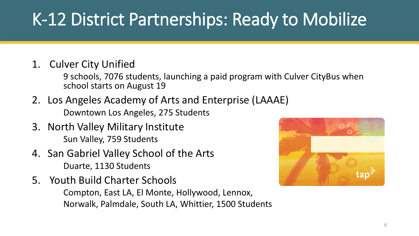## K-12 District Partnerships: Ready to Mobilize

1. Culver City Unified

9 schools, 7076 students, launching a paid program with Culver CityBus when school starts on August 19

- 2. Los Angeles Academy of Arts and Enterprise (LAAAE) Downtown Los Angeles, 275 Students
- 3. North Valley Military Institute Sun Valley, 759 Students
- 4. San Gabriel Valley School of the Arts Duarte, 1130 Students
- 5. Youth Build Charter Schools

Compton, East LA, El Monte, Hollywood, Lennox, Norwalk, Palmdale, South LA, Whittier, 1500 Students

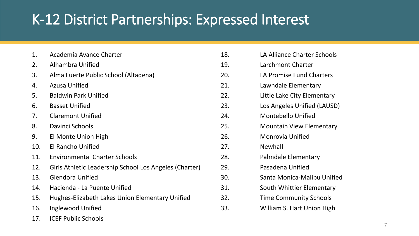#### K-12 District Partnerships: Expressed Interest

| 1.  | Academia Avance Charter                                | 18             |
|-----|--------------------------------------------------------|----------------|
| 2.  | Alhambra Unified                                       | 1 <sup>c</sup> |
| 3.  | Alma Fuerte Public School (Altadena)                   | 2 <sub>C</sub> |
| 4.  | <b>Azusa Unified</b>                                   | 21             |
| 5.  | <b>Baldwin Park Unified</b>                            | 2 <sub>2</sub> |
| 6.  | <b>Basset Unified</b>                                  | 2 <sup>3</sup> |
| 7.  | <b>Claremont Unified</b>                               | 2 <sup>2</sup> |
| 8.  | Davinci Schools                                        | 25             |
| 9.  | El Monte Union High                                    | 26             |
| 10. | <b>El Rancho Unified</b>                               | 27             |
| 11. | <b>Environmental Charter Schools</b>                   | 28             |
| 12. | Girls Athletic Leadership School Los Angeles (Charter) | 2 <sup>c</sup> |
| 13. | <b>Glendora Unified</b>                                | 30             |
| 14. | Hacienda - La Puente Unified                           | 31             |
| 15. | Hughes-Elizabeth Lakes Union Elementary Unified        | 32             |
| 16. | Inglewood Unified                                      | 3 <sup>3</sup> |
| 17. | <b>ICEF Public Schools</b>                             |                |

| 18. | LA Alliance Charter Schools     |
|-----|---------------------------------|
| 19. | Larchmont Charter               |
| 20. | LA Promise Fund Charters        |
| 21. | Lawndale Elementary             |
| 22. | Little Lake City Elementary     |
| 23. | Los Angeles Unified (LAUSD)     |
| 24. | Montebello Unified              |
| 25. | <b>Mountain View Elementary</b> |
| 26. | <b>Monrovia Unified</b>         |
| 27. | Newhall                         |
| 28. | Palmdale Elementary             |
| 29. | Pasadena Unified                |
| 30. | Santa Monica-Malibu Unified     |
| 31. | South Whittier Elementary       |
| 32. | <b>Time Community Schools</b>   |
| 33. | William S. Hart Union High      |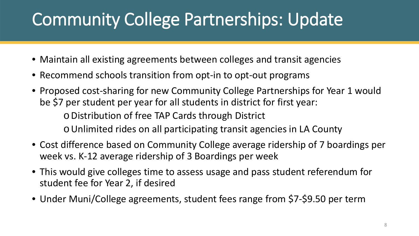### Community College Partnerships: Update

- Maintain all existing agreements between colleges and transit agencies
- Recommend schools transition from opt-in to opt-out programs
- Proposed cost-sharing for new Community College Partnerships for Year 1 would be \$7 per student per year for all students in district for first year: oDistribution of free TAP Cards through District oUnlimited rides on all participating transit agencies in LA County
- Cost difference based on Community College average ridership of 7 boardings per week vs. K-12 average ridership of 3 Boardings per week
- This would give colleges time to assess usage and pass student referendum for student fee for Year 2, if desired
- Under Muni/College agreements, student fees range from \$7-\$9.50 per term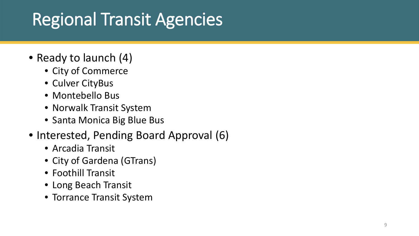# Regional Transit Agencies

- Ready to launch (4)
	- City of Commerce
	- Culver CityBus
	- Montebello Bus
	- Norwalk Transit System
	- Santa Monica Big Blue Bus
- Interested, Pending Board Approval (6)
	- Arcadia Transit
	- City of Gardena (GTrans)
	- Foothill Transit
	- Long Beach Transit
	- Torrance Transit System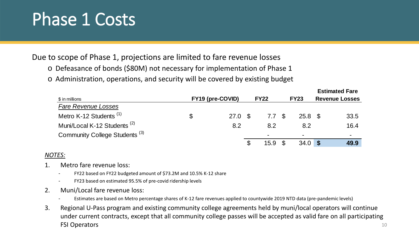#### Phase 1 Costs

Due to scope of Phase 1, projections are limited to fare revenue losses

- o Defeasance of bonds (\$80M) not necessary for implementation of Phase 1
- o Administration, operations, and security will be covered by existing budget

| \$ in millions                            | FY19 (pre-COVID)          |         | <b>FY22</b> |                  | <b>FY23</b>       | <b>Estimated Fare</b><br><b>Revenue Losses</b> |      |
|-------------------------------------------|---------------------------|---------|-------------|------------------|-------------------|------------------------------------------------|------|
| <b>Fare Revenue Losses</b>                |                           |         |             |                  |                   |                                                |      |
| Metro K-12 Students <sup>(1)</sup>        | $\boldsymbol{\mathsf{S}}$ | 27.0 \$ |             | 7.7 <sup>°</sup> | 25.8 <sup>°</sup> |                                                | 33.5 |
| Muni/Local K-12 Students <sup>(2)</sup>   |                           | 8.2     |             | 8.2              | 8.2               |                                                | 16.4 |
| Community College Students <sup>(3)</sup> |                           |         |             |                  | $\blacksquare$    |                                                |      |
|                                           |                           |         |             | 15.9             | $34.0$ \$         |                                                | 49.9 |

#### *NOTES:*

- 1. Metro fare revenue loss:
	- FY22 based on FY22 budgeted amount of \$73.2M and 10.5% K-12 share
	- FY23 based on estimated 95.5% of pre-covid ridership levels
- 2. Muni/Local fare revenue loss:
	- Estimates are based on Metro percentage shares of K-12 fare revenues applied to countywide 2019 NTD data (pre-pandemic levels)
- 3. Regional U-Pass program and existing community college agreements held by muni/local operators will continue under current contracts, except that all community college passes will be accepted as valid fare on all participating FSI Operators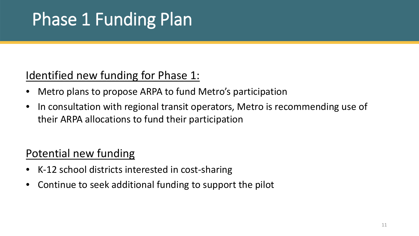# Phase 1 Funding Plan

#### Identified new funding for Phase 1:

- Metro plans to propose ARPA to fund Metro's participation
- In consultation with regional transit operators, Metro is recommending use of their ARPA allocations to fund their participation

#### Potential new funding

- K-12 school districts interested in cost-sharing
- Continue to seek additional funding to support the pilot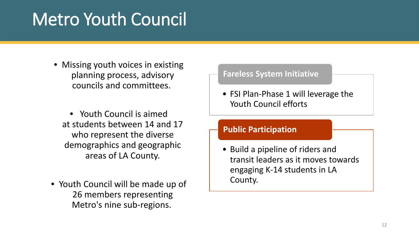#### Metro Youth Council

• Missing youth voices in existing planning process, advisory councils and committees.

• Youth Council is aimed at students between 14 and 17 who represent the diverse demographics and geographic areas of LA County.

• Youth Council will be made up of 26 members representing Metro's nine sub-regions.

#### • FSI Plan-Phase 1 will leverage the Youth Council efforts **Fareless System Initiative** • Build a pipeline of riders and transit leaders as it moves towards **Public Participation**

engaging K-14 students in LA County.